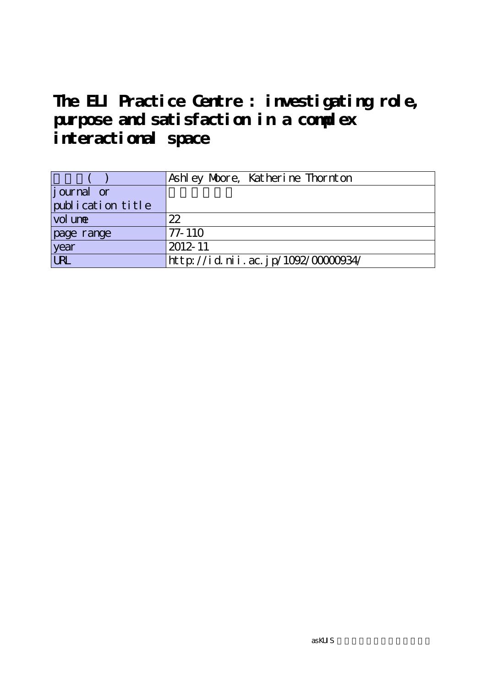# **The ELI Practice Centre : investigating role, purpose and satisfaction in a complex interactional space**

|                   | Ashley Moore, Katherine Thornton  |
|-------------------|-----------------------------------|
| journal or        |                                   |
| publication title |                                   |
| vol une           | 22                                |
| page range        | $77 - 110$                        |
| year              | 2012-11                           |
| URL               | http://id.nii.ac.jp/1092/0000034/ |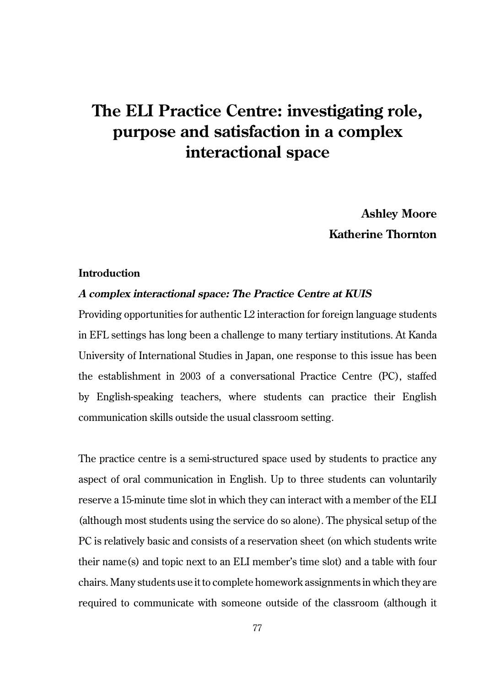# **The ELI Practice Centre: investigating role, purpose and satisfaction in a complex interactional space**

**Ashley Moore Katherine Thornton**

# **Introduction**

#### **A complex interactional space: The Practice Centre at KUIS**

Providing opportunities for authentic L2 interaction for foreign language students in EFL settings has long been a challenge to many tertiary institutions. At Kanda University of International Studies in Japan, one response to this issue has been the establishment in 2003 of a conversational Practice Centre (PC), staffed by English-speaking teachers, where students can practice their English communication skills outside the usual classroom setting.

The practice centre is a semi-structured space used by students to practice any aspect of oral communication in English. Up to three students can voluntarily reserve a 15-minute time slot in which they can interact with a member of the ELI (although most students using the service do so alone). The physical setup of the PC is relatively basic and consists of a reservation sheet (on which students write their name(s) and topic next to an ELI member's time slot) and a table with four chairs. Many students use it to complete homework assignments in which they are required to communicate with someone outside of the classroom (although it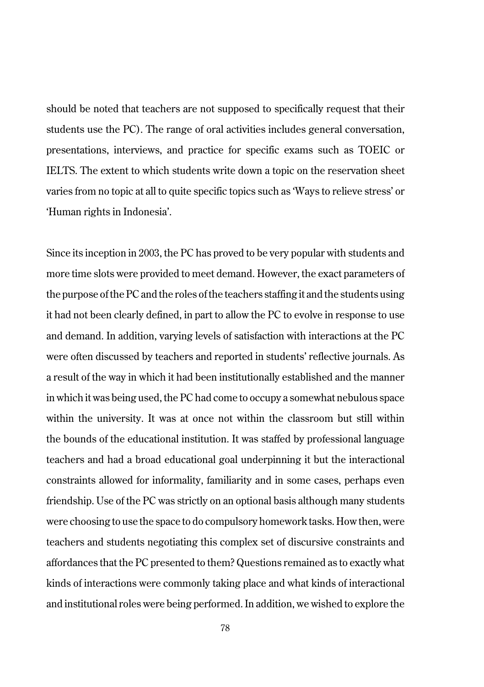should be noted that teachers are not supposed to specifically request that their students use the PC). The range of oral activities includes general conversation, presentations, interviews, and practice for specific exams such as TOEIC or IELTS. The extent to which students write down a topic on the reservation sheet varies from no topic at all to quite specific topics such as 'Ways to relieve stress' or 'Human rights in Indonesia'.

Since its inception in 2003, the PC has proved to be very popular with students and more time slots were provided to meet demand. However, the exact parameters of the purpose of the PC and the roles of the teachers staffing it and the students using it had not been clearly defined, in part to allow the PC to evolve in response to use and demand. In addition, varying levels of satisfaction with interactions at the PC were often discussed by teachers and reported in students' reflective journals. As a result of the way in which it had been institutionally established and the manner in which it was being used, the PC had come to occupy a somewhat nebulous space within the university. It was at once not within the classroom but still within the bounds of the educational institution. It was staffed by professional language teachers and had a broad educational goal underpinning it but the interactional constraints allowed for informality, familiarity and in some cases, perhaps even friendship. Use of the PC was strictly on an optional basis although many students were choosing to use the space to do compulsory homework tasks. How then, were teachers and students negotiating this complex set of discursive constraints and affordances that the PC presented to them? Questions remained as to exactly what kinds of interactions were commonly taking place and what kinds of interactional and institutional roles were being performed. In addition, we wished to explore the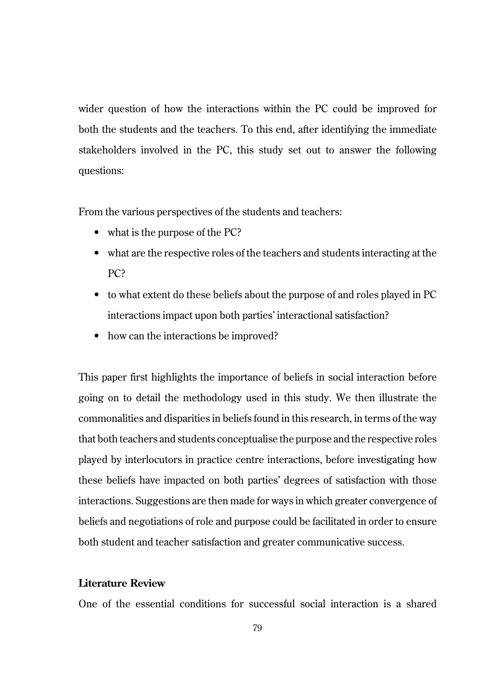wider question of how the interactions within the PC could be improved for both the students and the teachers. To this end, after identifying the immediate stakeholders involved in the PC, this study set out to answer the following questions:

From the various perspectives of the students and teachers:

- what is the purpose of the PC?
- what are the respective roles of the teachers and students interacting at the PC?
- to what extent do these beliefs about the purpose of and roles played in PC interactions impact upon both parties' interactional satisfaction?
- how can the interactions be improved?

This paper first highlights the importance of beliefs in social interaction before going on to detail the methodology used in this study. We then illustrate the commonalities and disparities in beliefs found in this research, in terms of the way that both teachers and students conceptualise the purpose and the respective roles played by interlocutors in practice centre interactions, before investigating how these beliefs have impacted on both parties' degrees of satisfaction with those interactions. Suggestions are then made for ways in which greater convergence of beliefs and negotiations of role and purpose could be facilitated in order to ensure both student and teacher satisfaction and greater communicative success.

# **Literature Review**

One of the essential conditions for successful social interaction is a shared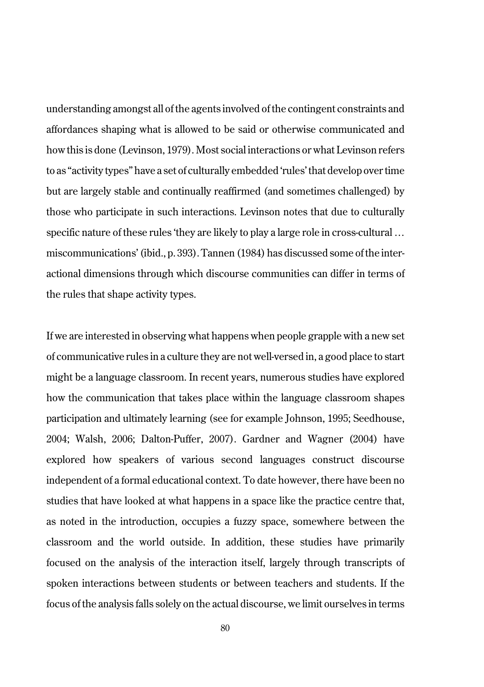understanding amongst all of the agents involved of the contingent constraints and affordances shaping what is allowed to be said or otherwise communicated and how this is done (Levinson, 1979). Most social interactions or what Levinson refers to as "activity types" have a set of culturally embedded 'rules' that develop over time but are largely stable and continually reaffirmed (and sometimes challenged) by those who participate in such interactions. Levinson notes that due to culturally specific nature of these rules 'they are likely to play a large role in cross-cultural … miscommunications' (ibid., p. 393). Tannen (1984) has discussed some of the interactional dimensions through which discourse communities can differ in terms of the rules that shape activity types.

If we are interested in observing what happens when people grapple with a new set of communicative rules in a culture they are not well-versed in, a good place to start might be a language classroom. In recent years, numerous studies have explored how the communication that takes place within the language classroom shapes participation and ultimately learning (see for example Johnson, 1995; Seedhouse, 2004; Walsh, 2006; Dalton-Puffer, 2007). Gardner and Wagner (2004) have explored how speakers of various second languages construct discourse independent of a formal educational context. To date however, there have been no studies that have looked at what happens in a space like the practice centre that, as noted in the introduction, occupies a fuzzy space, somewhere between the classroom and the world outside. In addition, these studies have primarily focused on the analysis of the interaction itself, largely through transcripts of spoken interactions between students or between teachers and students. If the focus of the analysis falls solely on the actual discourse, we limit ourselves in terms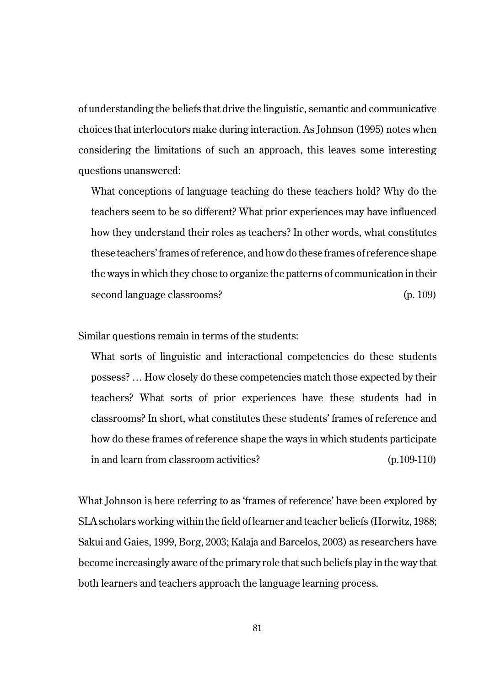of understanding the beliefs that drive the linguistic, semantic and communicative choices that interlocutors make during interaction. As Johnson (1995) notes when considering the limitations of such an approach, this leaves some interesting questions unanswered:

What conceptions of language teaching do these teachers hold? Why do the teachers seem to be so different? What prior experiences may have influenced how they understand their roles as teachers? In other words, what constitutes these teachers' frames of reference, and how do these frames of reference shape the ways in which they chose to organize the patterns of communication in their second language classrooms? (p. 109)

Similar questions remain in terms of the students:

What sorts of linguistic and interactional competencies do these students possess? … How closely do these competencies match those expected by their teachers? What sorts of prior experiences have these students had in classrooms? In short, what constitutes these students' frames of reference and how do these frames of reference shape the ways in which students participate in and learn from classroom activities? (p.109-110)

What Johnson is here referring to as 'frames of reference' have been explored by SLA scholars working within the field of learner and teacher beliefs (Horwitz, 1988; Sakui and Gaies, 1999, Borg, 2003; Kalaja and Barcelos, 2003) as researchers have become increasingly aware of the primary role that such beliefs play in the way that both learners and teachers approach the language learning process.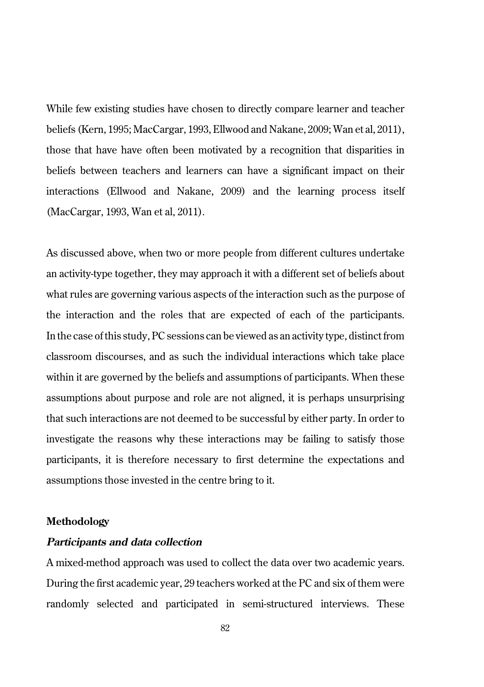While few existing studies have chosen to directly compare learner and teacher beliefs (Kern, 1995; MacCargar, 1993, Ellwood and Nakane, 2009; Wan et al, 2011), those that have have often been motivated by a recognition that disparities in beliefs between teachers and learners can have a significant impact on their interactions (Ellwood and Nakane, 2009) and the learning process itself (MacCargar, 1993, Wan et al, 2011).

As discussed above, when two or more people from different cultures undertake an activity-type together, they may approach it with a different set of beliefs about what rules are governing various aspects of the interaction such as the purpose of the interaction and the roles that are expected of each of the participants. In the case of this study, PC sessions can be viewed as an activity type, distinct from classroom discourses, and as such the individual interactions which take place within it are governed by the beliefs and assumptions of participants. When these assumptions about purpose and role are not aligned, it is perhaps unsurprising that such interactions are not deemed to be successful by either party. In order to investigate the reasons why these interactions may be failing to satisfy those participants, it is therefore necessary to first determine the expectations and assumptions those invested in the centre bring to it.

#### **Methodology**

## **Participants and data collection**

A mixed-method approach was used to collect the data over two academic years. During the first academic year, 29 teachers worked at the PC and six of them were randomly selected and participated in semi-structured interviews. These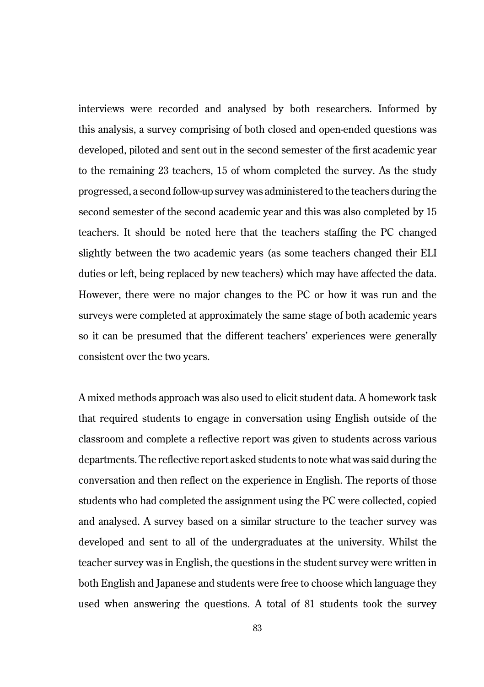interviews were recorded and analysed by both researchers. Informed by this analysis, a survey comprising of both closed and open-ended questions was developed, piloted and sent out in the second semester of the first academic year to the remaining 23 teachers, 15 of whom completed the survey. As the study progressed, a second follow-up survey was administered to the teachers during the second semester of the second academic year and this was also completed by 15 teachers. It should be noted here that the teachers staffing the PC changed slightly between the two academic years (as some teachers changed their ELI duties or left, being replaced by new teachers) which may have affected the data. However, there were no major changes to the PC or how it was run and the surveys were completed at approximately the same stage of both academic years so it can be presumed that the different teachers' experiences were generally consistent over the two years.

A mixed methods approach was also used to elicit student data. A homework task that required students to engage in conversation using English outside of the classroom and complete a reflective report was given to students across various departments. The reflective report asked students to note what was said during the conversation and then reflect on the experience in English. The reports of those students who had completed the assignment using the PC were collected, copied and analysed. A survey based on a similar structure to the teacher survey was developed and sent to all of the undergraduates at the university. Whilst the teacher survey was in English, the questions in the student survey were written in both English and Japanese and students were free to choose which language they used when answering the questions. A total of 81 students took the survey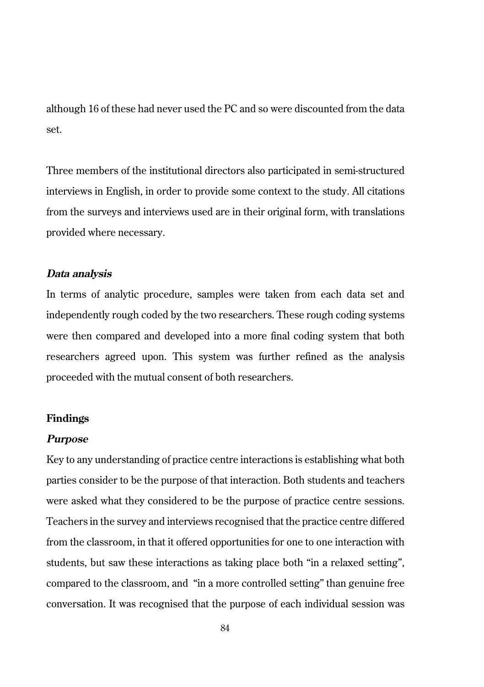although 16 of these had never used the PC and so were discounted from the data set.

Three members of the institutional directors also participated in semi-structured interviews in English, in order to provide some context to the study. All citations from the surveys and interviews used are in their original form, with translations provided where necessary.

### **Data analysis**

In terms of analytic procedure, samples were taken from each data set and independently rough coded by the two researchers. These rough coding systems were then compared and developed into a more final coding system that both researchers agreed upon. This system was further refined as the analysis proceeded with the mutual consent of both researchers.

# **Findings**

#### **Purpose**

Key to any understanding of practice centre interactions is establishing what both parties consider to be the purpose of that interaction. Both students and teachers were asked what they considered to be the purpose of practice centre sessions. Teachers in the survey and interviews recognised that the practice centre differed from the classroom, in that it offered opportunities for one to one interaction with students, but saw these interactions as taking place both "in a relaxed setting", compared to the classroom, and "in a more controlled setting" than genuine free conversation. It was recognised that the purpose of each individual session was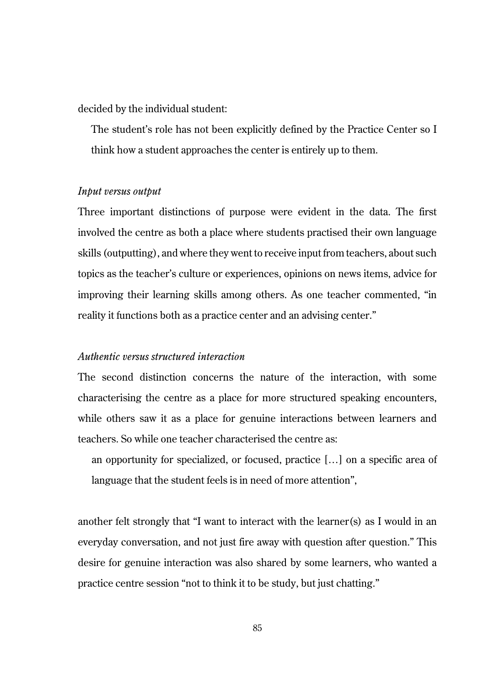decided by the individual student:

The student's role has not been explicitly defined by the Practice Center so I think how a student approaches the center is entirely up to them.

#### *Input versus output*

Three important distinctions of purpose were evident in the data. The first involved the centre as both a place where students practised their own language skills (outputting), and where they went to receive input from teachers, about such topics as the teacher's culture or experiences, opinions on news items, advice for improving their learning skills among others. As one teacher commented, "in reality it functions both as a practice center and an advising center."

# *Authentic versus structured interaction*

The second distinction concerns the nature of the interaction, with some characterising the centre as a place for more structured speaking encounters, while others saw it as a place for genuine interactions between learners and teachers. So while one teacher characterised the centre as:

an opportunity for specialized, or focused, practice […] on a specific area of language that the student feels is in need of more attention",

another felt strongly that "I want to interact with the learner(s) as I would in an everyday conversation, and not just fire away with question after question." This desire for genuine interaction was also shared by some learners, who wanted a practice centre session "not to think it to be study, but just chatting."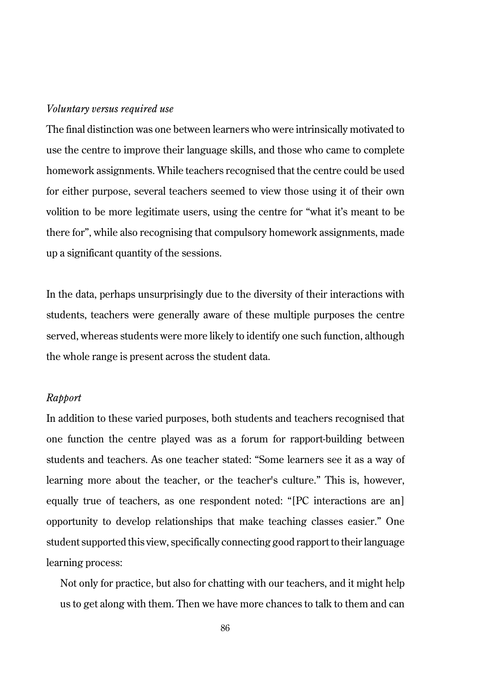#### *Voluntary versus required use*

The final distinction was one between learners who were intrinsically motivated to use the centre to improve their language skills, and those who came to complete homework assignments. While teachers recognised that the centre could be used for either purpose, several teachers seemed to view those using it of their own volition to be more legitimate users, using the centre for "what it's meant to be there for", while also recognising that compulsory homework assignments, made up a significant quantity of the sessions.

In the data, perhaps unsurprisingly due to the diversity of their interactions with students, teachers were generally aware of these multiple purposes the centre served, whereas students were more likely to identify one such function, although the whole range is present across the student data.

#### *Rapport*

In addition to these varied purposes, both students and teachers recognised that one function the centre played was as a forum for rapport-building between students and teachers. As one teacher stated: "Some learners see it as a way of learning more about the teacher, or the teacher's culture." This is, however, equally true of teachers, as one respondent noted: "[PC interactions are an] opportunity to develop relationships that make teaching classes easier." One student supported this view, specifically connecting good rapport to their language learning process:

Not only for practice, but also for chatting with our teachers, and it might help us to get along with them. Then we have more chances to talk to them and can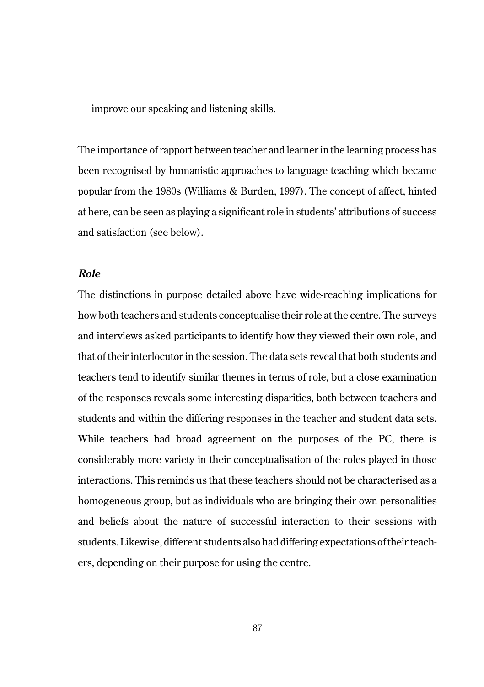improve our speaking and listening skills.

The importance of rapport between teacher and learner in the learning process has been recognised by humanistic approaches to language teaching which became popular from the 1980s (Williams & Burden, 1997). The concept of affect, hinted at here, can be seen as playing a significant role in students' attributions of success and satisfaction (see below).

#### **Role**

The distinctions in purpose detailed above have wide-reaching implications for how both teachers and students conceptualise their role at the centre. The surveys and interviews asked participants to identify how they viewed their own role, and that of their interlocutor in the session. The data sets reveal that both students and teachers tend to identify similar themes in terms of role, but a close examination of the responses reveals some interesting disparities, both between teachers and students and within the differing responses in the teacher and student data sets. While teachers had broad agreement on the purposes of the PC, there is considerably more variety in their conceptualisation of the roles played in those interactions. This reminds us that these teachers should not be characterised as a homogeneous group, but as individuals who are bringing their own personalities and beliefs about the nature of successful interaction to their sessions with students. Likewise, different students also had differing expectations of their teachers, depending on their purpose for using the centre.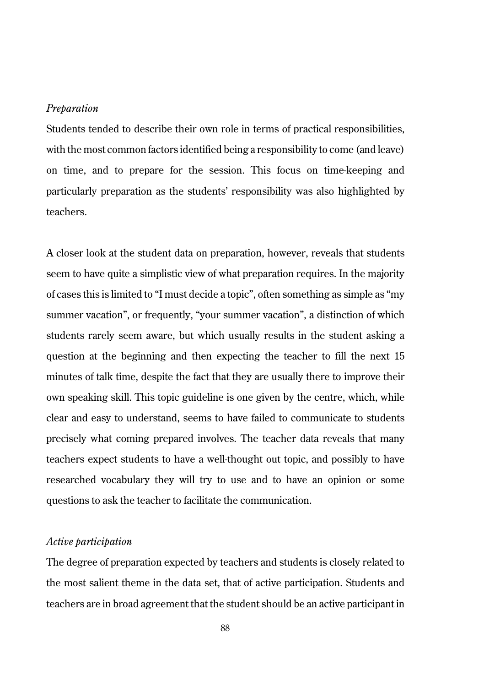#### *Preparation*

Students tended to describe their own role in terms of practical responsibilities, with the most common factors identified being a responsibility to come (and leave) on time, and to prepare for the session. This focus on time-keeping and particularly preparation as the students' responsibility was also highlighted by teachers.

A closer look at the student data on preparation, however, reveals that students seem to have quite a simplistic view of what preparation requires. In the majority of cases this is limited to "I must decide a topic", often something as simple as "my summer vacation", or frequently, "your summer vacation", a distinction of which students rarely seem aware, but which usually results in the student asking a question at the beginning and then expecting the teacher to fill the next 15 minutes of talk time, despite the fact that they are usually there to improve their own speaking skill. This topic guideline is one given by the centre, which, while clear and easy to understand, seems to have failed to communicate to students precisely what coming prepared involves. The teacher data reveals that many teachers expect students to have a well-thought out topic, and possibly to have researched vocabulary they will try to use and to have an opinion or some questions to ask the teacher to facilitate the communication.

# *Active participation*

The degree of preparation expected by teachers and students is closely related to the most salient theme in the data set, that of active participation. Students and teachers are in broad agreement that the student should be an active participant in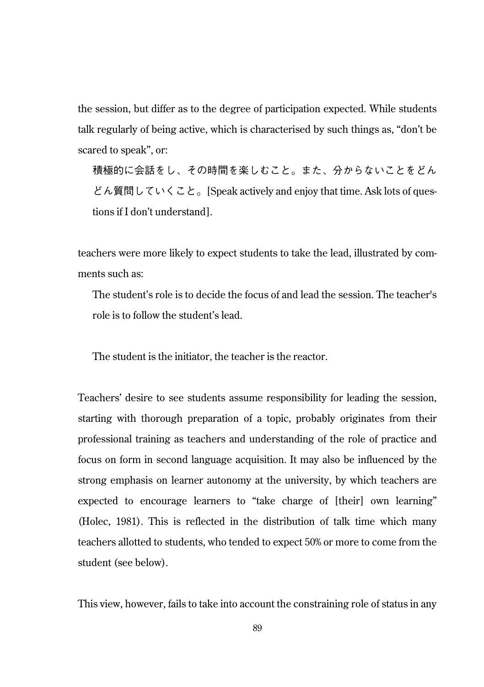the session, but differ as to the degree of participation expected. While students talk regularly of being active, which is characterised by such things as, "don't be scared to speak", or:

積極的に会話をし、その時間を楽しむこと。また、分からないことをどん どん質問していくこと。[Speak actively and enjoy that time. Ask lots of questions if I don't understand].

teachers were more likely to expect students to take the lead, illustrated by comments such as:

The student's role is to decide the focus of and lead the session. The teacher's role is to follow the student's lead.

The student is the initiator, the teacher is the reactor.

Teachers' desire to see students assume responsibility for leading the session, starting with thorough preparation of a topic, probably originates from their professional training as teachers and understanding of the role of practice and focus on form in second language acquisition. It may also be influenced by the strong emphasis on learner autonomy at the university, by which teachers are expected to encourage learners to "take charge of [their] own learning" (Holec, 1981). This is reflected in the distribution of talk time which many teachers allotted to students, who tended to expect 50% or more to come from the student (see below).

This view, however, fails to take into account the constraining role of status in any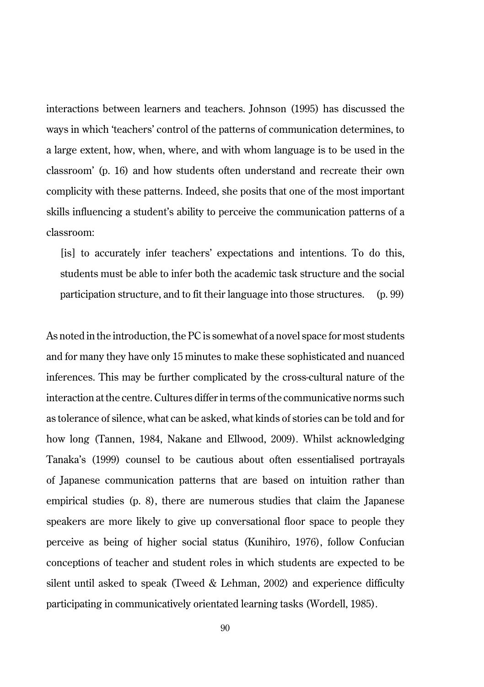interactions between learners and teachers. Johnson (1995) has discussed the ways in which 'teachers' control of the patterns of communication determines, to a large extent, how, when, where, and with whom language is to be used in the classroom' (p. 16) and how students often understand and recreate their own complicity with these patterns. Indeed, she posits that one of the most important skills influencing a student's ability to perceive the communication patterns of a classroom:

[is] to accurately infer teachers' expectations and intentions. To do this, students must be able to infer both the academic task structure and the social participation structure, and to fit their language into those structures. (p. 99)

As noted in the introduction, the PC is somewhat of a novel space for most students and for many they have only 15 minutes to make these sophisticated and nuanced inferences. This may be further complicated by the cross-cultural nature of the interaction at the centre. Cultures differ in terms of the communicative norms such as tolerance of silence, what can be asked, what kinds of stories can be told and for how long (Tannen, 1984, Nakane and Ellwood, 2009). Whilst acknowledging Tanaka's (1999) counsel to be cautious about often essentialised portrayals of Japanese communication patterns that are based on intuition rather than empirical studies (p. 8), there are numerous studies that claim the Japanese speakers are more likely to give up conversational floor space to people they perceive as being of higher social status (Kunihiro, 1976), follow Confucian conceptions of teacher and student roles in which students are expected to be silent until asked to speak (Tweed & Lehman, 2002) and experience difficulty participating in communicatively orientated learning tasks (Wordell, 1985).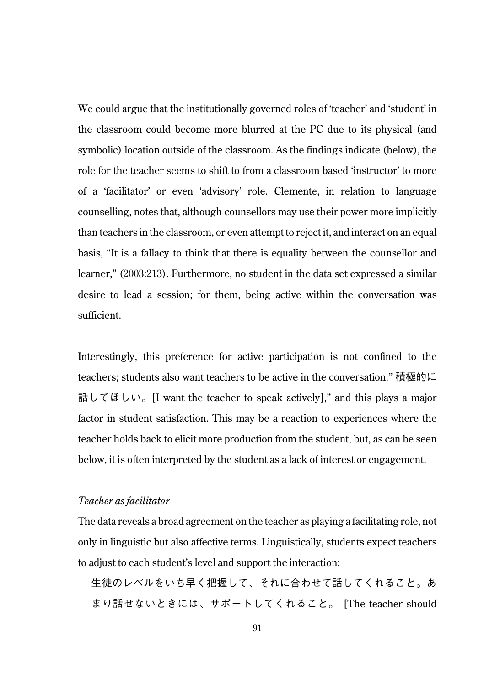We could argue that the institutionally governed roles of 'teacher' and 'student' in the classroom could become more blurred at the PC due to its physical (and symbolic) location outside of the classroom. As the findings indicate (below), the role for the teacher seems to shift to from a classroom based 'instructor' to more of a 'facilitator' or even 'advisory' role. Clemente, in relation to language counselling, notes that, although counsellors may use their power more implicitly than teachers in the classroom, or even attempt to reject it, and interact on an equal basis, "It is a fallacy to think that there is equality between the counsellor and learner," (2003:213). Furthermore, no student in the data set expressed a similar desire to lead a session; for them, being active within the conversation was sufficient.

Interestingly, this preference for active participation is not confined to the teachers; students also want teachers to be active in the conversation:" 積極的に 話してほしい。[I want the teacher to speak actively]," and this plays a major factor in student satisfaction. This may be a reaction to experiences where the teacher holds back to elicit more production from the student, but, as can be seen below, it is often interpreted by the student as a lack of interest or engagement.

#### *Teacher as facilitator*

The data reveals a broad agreement on the teacher as playing a facilitating role, not only in linguistic but also affective terms. Linguistically, students expect teachers to adjust to each student's level and support the interaction:

生徒のレベルをいち早く把握して、それに合わせて話してくれること。あ まり話せないときには、サポートしてくれること。 [The teacher should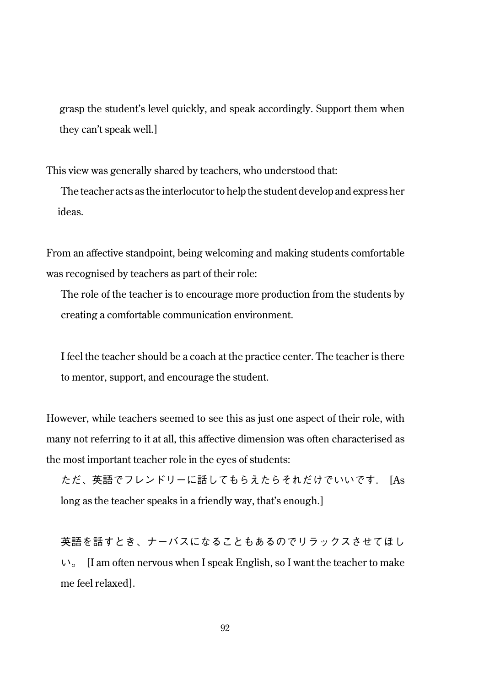grasp the student's level quickly, and speak accordingly. Support them when they can't speak well.]

This view was generally shared by teachers, who understood that:

The teacher acts as the interlocutor to help the student develop and express her ideas.

From an affective standpoint, being welcoming and making students comfortable was recognised by teachers as part of their role:

The role of the teacher is to encourage more production from the students by creating a comfortable communication environment.

I feel the teacher should be a coach at the practice center. The teacher is there to mentor, support, and encourage the student.

However, while teachers seemed to see this as just one aspect of their role, with many not referring to it at all, this affective dimension was often characterised as the most important teacher role in the eyes of students:

ただ、英語でフレンドリーに話してもらえたらそれだけでいいです. [As long as the teacher speaks in a friendly way, that's enough.]

英語を話すとき、ナーバスになることもあるのでリラックスさせてほし  $V_0$  [I am often nervous when I speak English, so I want the teacher to make me feel relaxed].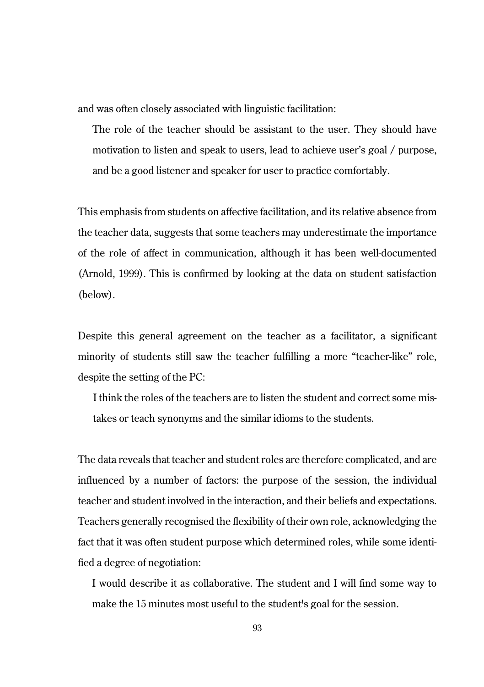and was often closely associated with linguistic facilitation:

The role of the teacher should be assistant to the user. They should have motivation to listen and speak to users, lead to achieve user's goal / purpose, and be a good listener and speaker for user to practice comfortably.

This emphasis from students on affective facilitation, and its relative absence from the teacher data, suggests that some teachers may underestimate the importance of the role of affect in communication, although it has been well-documented (Arnold, 1999). This is confirmed by looking at the data on student satisfaction (below).

Despite this general agreement on the teacher as a facilitator, a significant minority of students still saw the teacher fulfilling a more "teacher-like" role, despite the setting of the PC:

I think the roles of the teachers are to listen the student and correct some mistakes or teach synonyms and the similar idioms to the students.

The data reveals that teacher and student roles are therefore complicated, and are influenced by a number of factors: the purpose of the session, the individual teacher and student involved in the interaction, and their beliefs and expectations. Teachers generally recognised the flexibility of their own role, acknowledging the fact that it was often student purpose which determined roles, while some identified a degree of negotiation:

I would describe it as collaborative. The student and I will find some way to make the 15 minutes most useful to the student's goal for the session.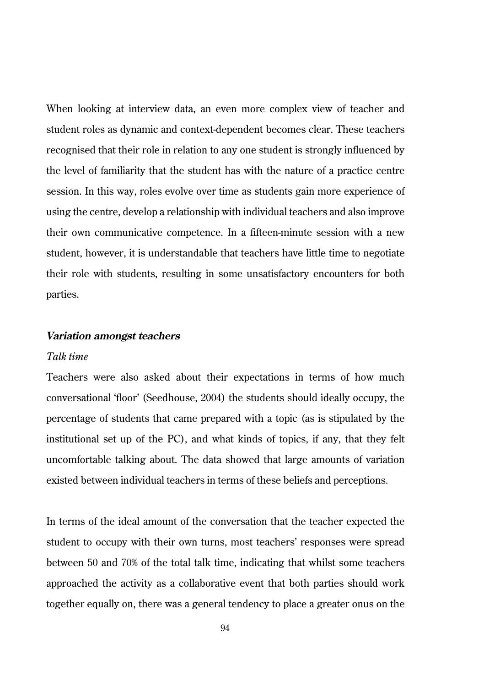When looking at interview data, an even more complex view of teacher and student roles as dynamic and context-dependent becomes clear. These teachers recognised that their role in relation to any one student is strongly influenced by the level of familiarity that the student has with the nature of a practice centre session. In this way, roles evolve over time as students gain more experience of using the centre, develop a relationship with individual teachers and also improve their own communicative competence. In a fifteen-minute session with a new student, however, it is understandable that teachers have little time to negotiate their role with students, resulting in some unsatisfactory encounters for both parties.

#### **Variation amongst teachers**

#### *Talk time*

Teachers were also asked about their expectations in terms of how much conversational 'floor' (Seedhouse, 2004) the students should ideally occupy, the percentage of students that came prepared with a topic (as is stipulated by the institutional set up of the PC), and what kinds of topics, if any, that they felt uncomfortable talking about. The data showed that large amounts of variation existed between individual teachers in terms of these beliefs and perceptions.

In terms of the ideal amount of the conversation that the teacher expected the student to occupy with their own turns, most teachers' responses were spread between 50 and 70% of the total talk time, indicating that whilst some teachers approached the activity as a collaborative event that both parties should work together equally on, there was a general tendency to place a greater onus on the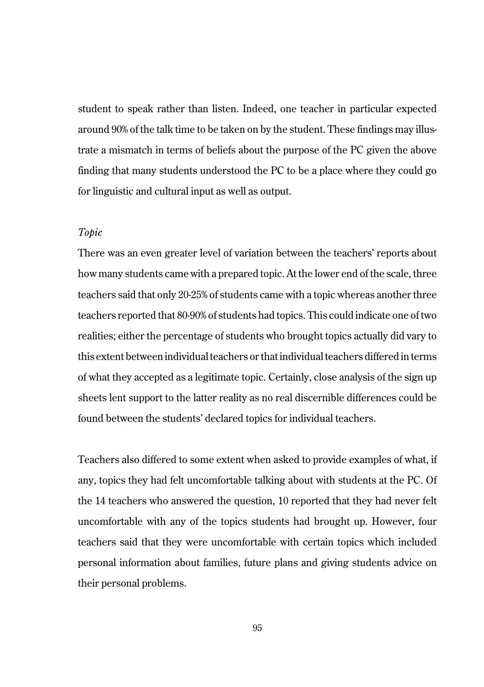student to speak rather than listen. Indeed, one teacher in particular expected around 90% of the talk time to be taken on by the student. These findings may illustrate a mismatch in terms of beliefs about the purpose of the PC given the above finding that many students understood the PC to be a place where they could go for linguistic and cultural input as well as output.

#### *Topic*

There was an even greater level of variation between the teachers' reports about how many students came with a prepared topic. At the lower end of the scale, three teachers said that only 20-25% of students came with a topic whereas another three teachers reported that 80-90% of students had topics. This could indicate one of two realities; either the percentage of students who brought topics actually did vary to this extent between individual teachers or that individual teachers differed in terms of what they accepted as a legitimate topic. Certainly, close analysis of the sign up sheets lent support to the latter reality as no real discernible differences could be found between the students' declared topics for individual teachers.

Teachers also differed to some extent when asked to provide examples of what, if any, topics they had felt uncomfortable talking about with students at the PC. Of the 14 teachers who answered the question, 10 reported that they had never felt uncomfortable with any of the topics students had brought up. However, four teachers said that they were uncomfortable with certain topics which included personal information about families, future plans and giving students advice on their personal problems.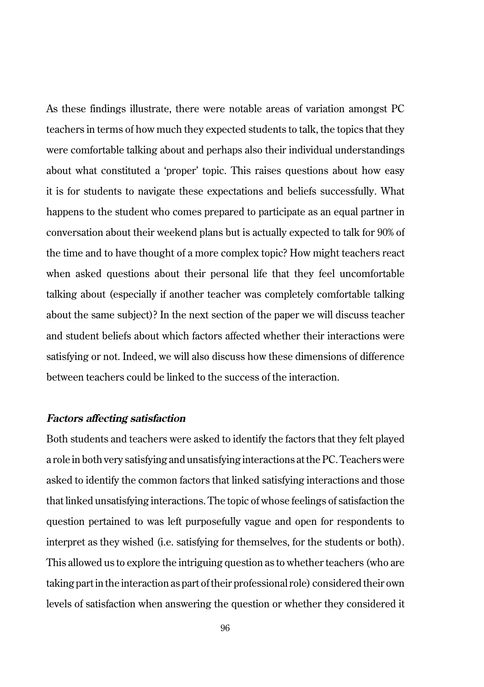As these findings illustrate, there were notable areas of variation amongst PC teachers in terms of how much they expected students to talk, the topics that they were comfortable talking about and perhaps also their individual understandings about what constituted a 'proper' topic. This raises questions about how easy it is for students to navigate these expectations and beliefs successfully. What happens to the student who comes prepared to participate as an equal partner in conversation about their weekend plans but is actually expected to talk for 90% of the time and to have thought of a more complex topic? How might teachers react when asked questions about their personal life that they feel uncomfortable talking about (especially if another teacher was completely comfortable talking about the same subject)? In the next section of the paper we will discuss teacher and student beliefs about which factors affected whether their interactions were satisfying or not. Indeed, we will also discuss how these dimensions of difference between teachers could be linked to the success of the interaction.

# **Factors affecting satisfaction**

Both students and teachers were asked to identify the factors that they felt played a role in both very satisfying and unsatisfying interactions at the PC. Teachers were asked to identify the common factors that linked satisfying interactions and those that linked unsatisfying interactions. The topic of whose feelings of satisfaction the question pertained to was left purposefully vague and open for respondents to interpret as they wished (i.e. satisfying for themselves, for the students or both). This allowed us to explore the intriguing question as to whether teachers (who are taking part in the interaction as part of their professional role) considered their own levels of satisfaction when answering the question or whether they considered it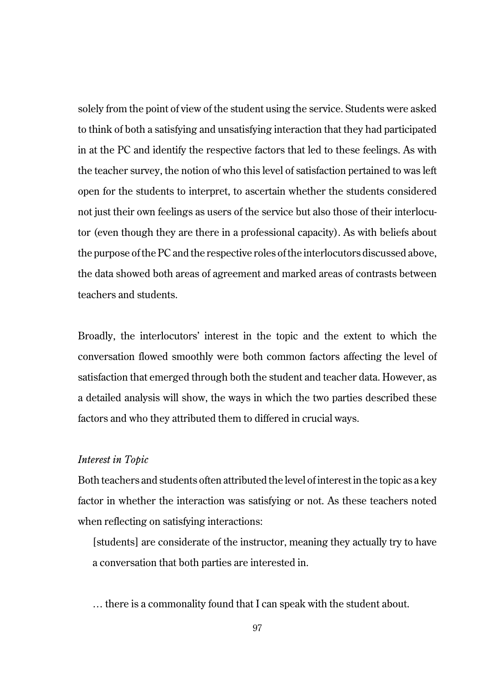solely from the point of view of the student using the service. Students were asked to think of both a satisfying and unsatisfying interaction that they had participated in at the PC and identify the respective factors that led to these feelings. As with the teacher survey, the notion of who this level of satisfaction pertained to was left open for the students to interpret, to ascertain whether the students considered not just their own feelings as users of the service but also those of their interlocutor (even though they are there in a professional capacity). As with beliefs about the purpose of the PC and the respective roles of the interlocutors discussed above, the data showed both areas of agreement and marked areas of contrasts between teachers and students.

Broadly, the interlocutors' interest in the topic and the extent to which the conversation flowed smoothly were both common factors affecting the level of satisfaction that emerged through both the student and teacher data. However, as a detailed analysis will show, the ways in which the two parties described these factors and who they attributed them to differed in crucial ways.

#### *Interest in Topic*

Both teachers and students often attributed the level of interest in the topic as a key factor in whether the interaction was satisfying or not. As these teachers noted when reflecting on satisfying interactions:

[students] are considerate of the instructor, meaning they actually try to have a conversation that both parties are interested in.

… there is a commonality found that I can speak with the student about.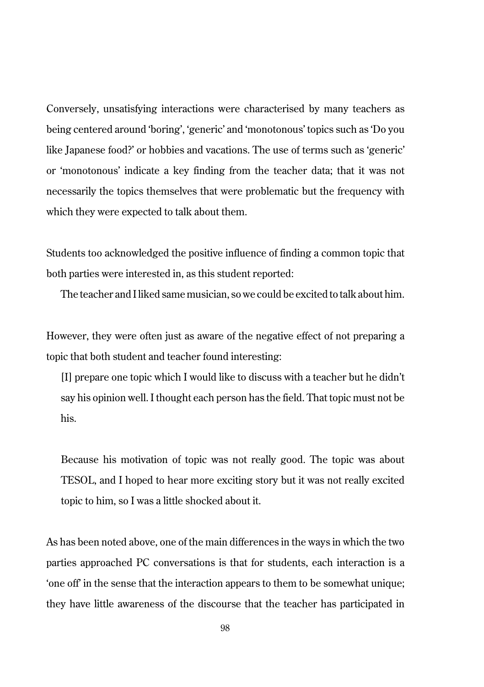Conversely, unsatisfying interactions were characterised by many teachers as being centered around 'boring', 'generic' and 'monotonous' topics such as 'Do you like Japanese food?' or hobbies and vacations. The use of terms such as 'generic' or 'monotonous' indicate a key finding from the teacher data; that it was not necessarily the topics themselves that were problematic but the frequency with which they were expected to talk about them.

Students too acknowledged the positive influence of finding a common topic that both parties were interested in, as this student reported:

The teacher and I liked same musician, so we could be excited to talk about him.

However, they were often just as aware of the negative effect of not preparing a topic that both student and teacher found interesting:

[I] prepare one topic which I would like to discuss with a teacher but he didn't say his opinion well. I thought each person has the field. That topic must not be his.

Because his motivation of topic was not really good. The topic was about TESOL, and I hoped to hear more exciting story but it was not really excited topic to him, so I was a little shocked about it.

As has been noted above, one of the main differences in the ways in which the two parties approached PC conversations is that for students, each interaction is a 'one off' in the sense that the interaction appears to them to be somewhat unique; they have little awareness of the discourse that the teacher has participated in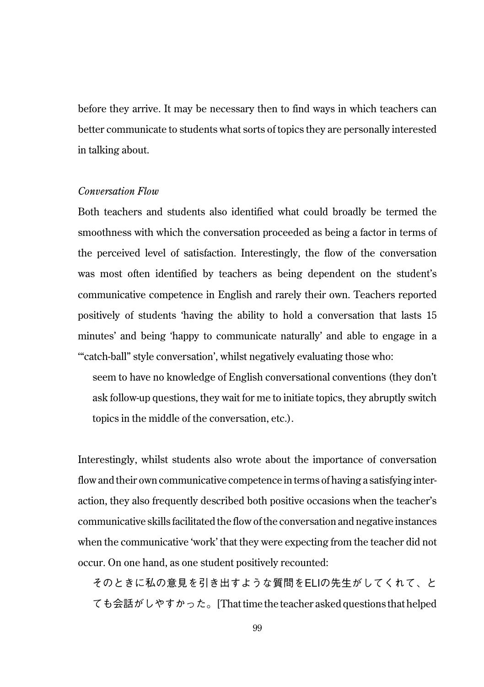before they arrive. It may be necessary then to find ways in which teachers can better communicate to students what sorts of topics they are personally interested in talking about.

# *Conversation Flow*

Both teachers and students also identified what could broadly be termed the smoothness with which the conversation proceeded as being a factor in terms of the perceived level of satisfaction. Interestingly, the flow of the conversation was most often identified by teachers as being dependent on the student's communicative competence in English and rarely their own. Teachers reported positively of students 'having the ability to hold a conversation that lasts 15 minutes' and being 'happy to communicate naturally' and able to engage in a '"catch-ball" style conversation', whilst negatively evaluating those who:

seem to have no knowledge of English conversational conventions (they don't ask follow-up questions, they wait for me to initiate topics, they abruptly switch topics in the middle of the conversation, etc.).

Interestingly, whilst students also wrote about the importance of conversation flow and their own communicative competence in terms of having a satisfying interaction, they also frequently described both positive occasions when the teacher's communicative skills facilitated the flow of the conversation and negative instances when the communicative 'work' that they were expecting from the teacher did not occur. On one hand, as one student positively recounted:

そのときに私の意見を引き出すような質問をELIの先生がしてくれて、と ても会話がしやすかった。[That time the teacher asked questions that helped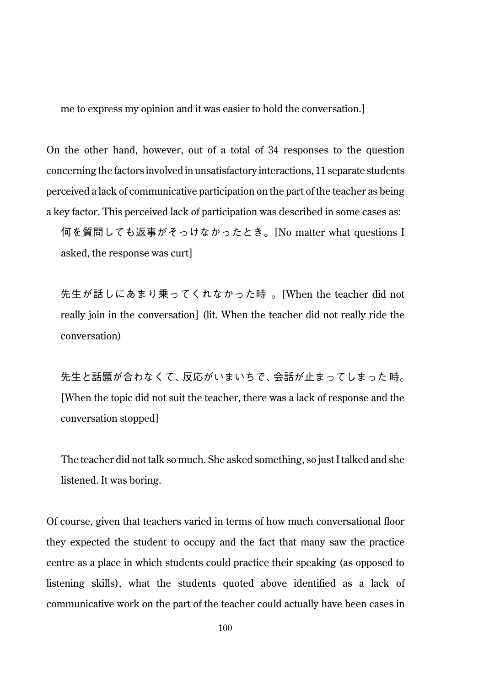me to express my opinion and it was easier to hold the conversation.]

On the other hand, however, out of a total of 34 responses to the question concerning the factors involved in unsatisfactory interactions, 11 separate students perceived a lack of communicative participation on the part of the teacher as being a key factor. This perceived lack of participation was described in some cases as:

何を質問しても返事がそっけなかったとき。[No matter what questions I asked, the response was curt]

先生が話しにあまり乗ってくれなかった時 。[When the teacher did not really join in the conversation] (lit. When the teacher did not really ride the conversation)

先生と話題が合わなくて、反応がいまいちで、会話が止まってしまった 時。 [When the topic did not suit the teacher, there was a lack of response and the conversation stopped]

The teacher did not talk so much. She asked something, so just I talked and she listened. It was boring.

Of course, given that teachers varied in terms of how much conversational floor they expected the student to occupy and the fact that many saw the practice centre as a place in which students could practice their speaking (as opposed to listening skills), what the students quoted above identified as a lack of communicative work on the part of the teacher could actually have been cases in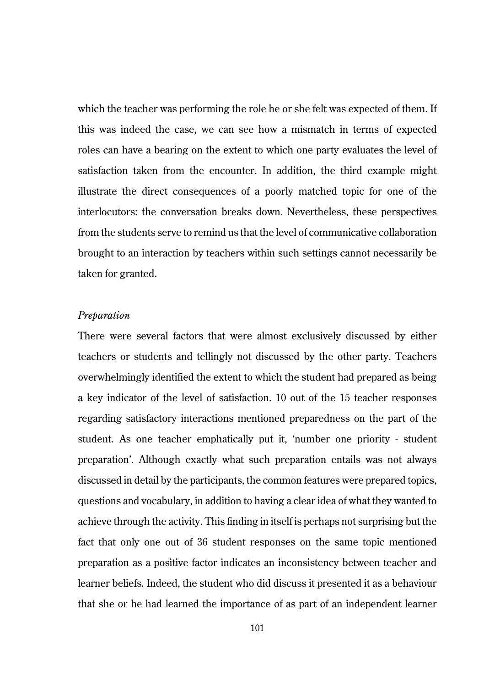which the teacher was performing the role he or she felt was expected of them. If this was indeed the case, we can see how a mismatch in terms of expected roles can have a bearing on the extent to which one party evaluates the level of satisfaction taken from the encounter. In addition, the third example might illustrate the direct consequences of a poorly matched topic for one of the interlocutors: the conversation breaks down. Nevertheless, these perspectives from the students serve to remind us that the level of communicative collaboration brought to an interaction by teachers within such settings cannot necessarily be taken for granted.

# *Preparation*

There were several factors that were almost exclusively discussed by either teachers or students and tellingly not discussed by the other party. Teachers overwhelmingly identified the extent to which the student had prepared as being a key indicator of the level of satisfaction. 10 out of the 15 teacher responses regarding satisfactory interactions mentioned preparedness on the part of the student. As one teacher emphatically put it, 'number one priority - student preparation'. Although exactly what such preparation entails was not always discussed in detail by the participants, the common features were prepared topics, questions and vocabulary, in addition to having a clear idea of what they wanted to achieve through the activity. This finding in itself is perhaps not surprising but the fact that only one out of 36 student responses on the same topic mentioned preparation as a positive factor indicates an inconsistency between teacher and learner beliefs. Indeed, the student who did discuss it presented it as a behaviour that she or he had learned the importance of as part of an independent learner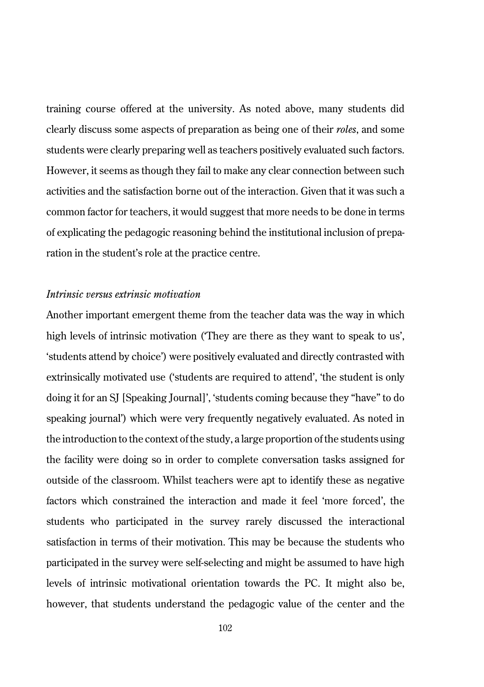training course offered at the university. As noted above, many students did clearly discuss some aspects of preparation as being one of their *roles*, and some students were clearly preparing well as teachers positively evaluated such factors. However, it seems as though they fail to make any clear connection between such activities and the satisfaction borne out of the interaction. Given that it was such a common factor for teachers, it would suggest that more needs to be done in terms of explicating the pedagogic reasoning behind the institutional inclusion of preparation in the student's role at the practice centre.

# *Intrinsic versus extrinsic motivation*

Another important emergent theme from the teacher data was the way in which high levels of intrinsic motivation (They are there as they want to speak to us', 'students attend by choice') were positively evaluated and directly contrasted with extrinsically motivated use ('students are required to attend', 'the student is only doing it for an SJ [Speaking Journal]', 'students coming because they "have" to do speaking journal') which were very frequently negatively evaluated. As noted in the introduction to the context of the study, a large proportion of the students using the facility were doing so in order to complete conversation tasks assigned for outside of the classroom. Whilst teachers were apt to identify these as negative factors which constrained the interaction and made it feel 'more forced', the students who participated in the survey rarely discussed the interactional satisfaction in terms of their motivation. This may be because the students who participated in the survey were self-selecting and might be assumed to have high levels of intrinsic motivational orientation towards the PC. It might also be, however, that students understand the pedagogic value of the center and the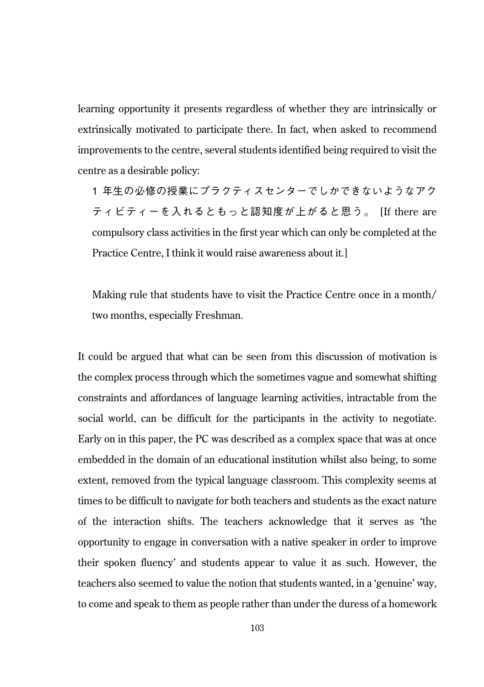learning opportunity it presents regardless of whether they are intrinsically or extrinsically motivated to participate there. In fact, when asked to recommend improvements to the centre, several students identified being required to visit the centre as a desirable policy:

1 年生の必修の授業にプラクティスセンターでしかできないようなアク ティビティーを入れるともっと認知度が上がると思う。 [If there are compulsory class activities in the first year which can only be completed at the Practice Centre, I think it would raise awareness about it.]

Making rule that students have to visit the Practice Centre once in a month/ two months, especially Freshman.

It could be argued that what can be seen from this discussion of motivation is the complex process through which the sometimes vague and somewhat shifting constraints and affordances of language learning activities, intractable from the social world, can be difficult for the participants in the activity to negotiate. Early on in this paper, the PC was described as a complex space that was at once embedded in the domain of an educational institution whilst also being, to some extent, removed from the typical language classroom. This complexity seems at times to be difficult to navigate for both teachers and students as the exact nature of the interaction shifts. The teachers acknowledge that it serves as 'the opportunity to engage in conversation with a native speaker in order to improve their spoken fluency' and students appear to value it as such. However, the teachers also seemed to value the notion that students wanted, in a 'genuine' way, to come and speak to them as people rather than under the duress of a homework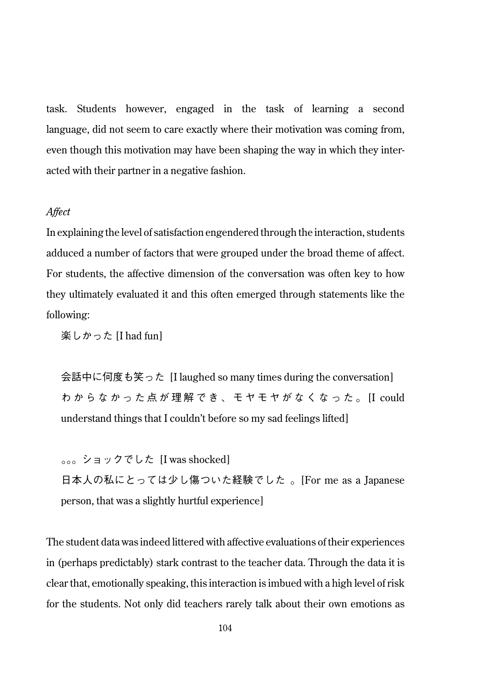task. Students however, engaged in the task of learning a second language, did not seem to care exactly where their motivation was coming from, even though this motivation may have been shaping the way in which they interacted with their partner in a negative fashion.

#### *Affect*

In explaining the level of satisfaction engendered through the interaction, students adduced a number of factors that were grouped under the broad theme of affect. For students, the affective dimension of the conversation was often key to how they ultimately evaluated it and this often emerged through statements like the following:

楽しかった [I had fun]

会話中に何度も笑った [I laughed so many times during the conversation] わからなかった点が理解でき、モヤモヤがなくなった。 [I could understand things that I couldn't before so my sad feelings lifted]

。。。ショックでした [I was shocked] 日本人の私にとっては少し傷ついた経験でした 。[For me as a Japanese person, that was a slightly hurtful experience]

The student data was indeed littered with affective evaluations of their experiences in (perhaps predictably) stark contrast to the teacher data. Through the data it is clear that, emotionally speaking, this interaction is imbued with a high level of risk for the students. Not only did teachers rarely talk about their own emotions as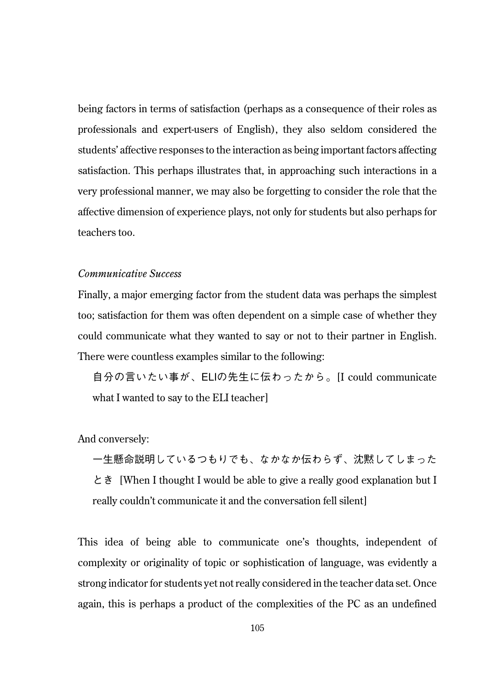being factors in terms of satisfaction (perhaps as a consequence of their roles as professionals and expert-users of English), they also seldom considered the students' affective responses to the interaction as being important factors affecting satisfaction. This perhaps illustrates that, in approaching such interactions in a very professional manner, we may also be forgetting to consider the role that the affective dimension of experience plays, not only for students but also perhaps for teachers too.

#### *Communicative Success*

Finally, a major emerging factor from the student data was perhaps the simplest too; satisfaction for them was often dependent on a simple case of whether they could communicate what they wanted to say or not to their partner in English. There were countless examples similar to the following:

自分の言いたい事が、ELIの先生に伝わったから。[I could communicate what I wanted to say to the ELI teacher]

And conversely:

一生懸命説明しているつもりでも、なかなか伝わらず、沈黙してしまった とき [When I thought I would be able to give a really good explanation but I really couldn't communicate it and the conversation fell silent]

This idea of being able to communicate one's thoughts, independent of complexity or originality of topic or sophistication of language, was evidently a strong indicator for students yet not really considered in the teacher data set. Once again, this is perhaps a product of the complexities of the PC as an undefined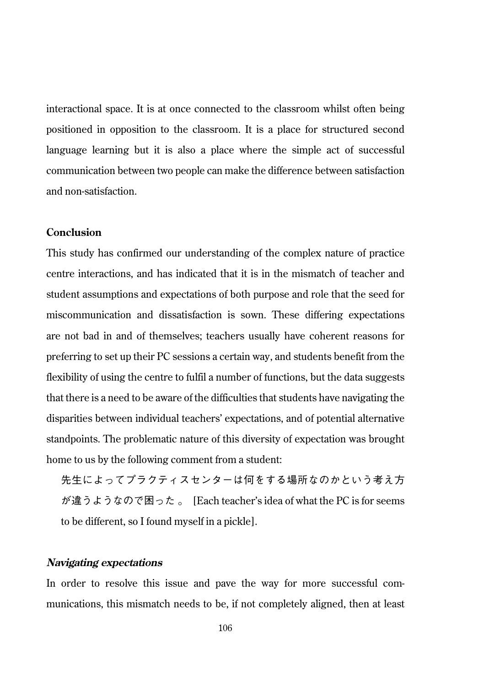interactional space. It is at once connected to the classroom whilst often being positioned in opposition to the classroom. It is a place for structured second language learning but it is also a place where the simple act of successful communication between two people can make the difference between satisfaction and non-satisfaction.

# **Conclusion**

This study has confirmed our understanding of the complex nature of practice centre interactions, and has indicated that it is in the mismatch of teacher and student assumptions and expectations of both purpose and role that the seed for miscommunication and dissatisfaction is sown. These differing expectations are not bad in and of themselves; teachers usually have coherent reasons for preferring to set up their PC sessions a certain way, and students benefit from the flexibility of using the centre to fulfil a number of functions, but the data suggests that there is a need to be aware of the difficulties that students have navigating the disparities between individual teachers' expectations, and of potential alternative standpoints. The problematic nature of this diversity of expectation was brought home to us by the following comment from a student:

先生によってプラクティスセンターは何をする場所なのかという考え方 が違うようなので困った 。 [Each teacher's idea of what the PC is for seems to be different, so I found myself in a pickle].

# **Navigating expectations**

In order to resolve this issue and pave the way for more successful communications, this mismatch needs to be, if not completely aligned, then at least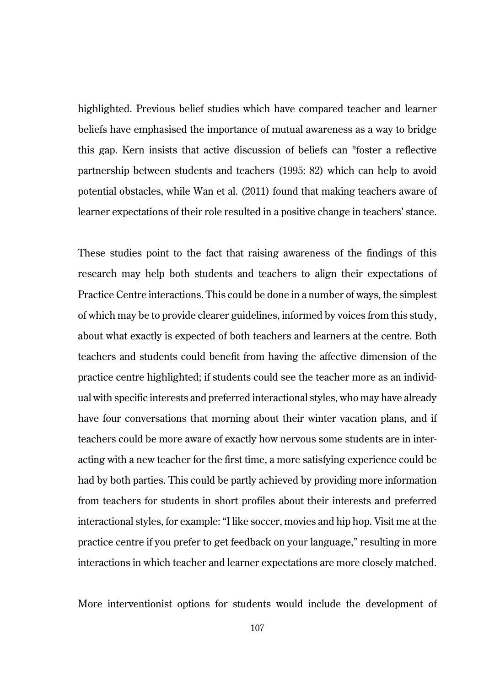highlighted. Previous belief studies which have compared teacher and learner beliefs have emphasised the importance of mutual awareness as a way to bridge this gap. Kern insists that active discussion of beliefs can "foster a reflective partnership between students and teachers (1995: 82) which can help to avoid potential obstacles, while Wan et al. (2011) found that making teachers aware of learner expectations of their role resulted in a positive change in teachers' stance.

These studies point to the fact that raising awareness of the findings of this research may help both students and teachers to align their expectations of Practice Centre interactions. This could be done in a number of ways, the simplest of which may be to provide clearer guidelines, informed by voices from this study, about what exactly is expected of both teachers and learners at the centre. Both teachers and students could benefit from having the affective dimension of the practice centre highlighted; if students could see the teacher more as an individual with specific interests and preferred interactional styles, who may have already have four conversations that morning about their winter vacation plans, and if teachers could be more aware of exactly how nervous some students are in interacting with a new teacher for the first time, a more satisfying experience could be had by both parties. This could be partly achieved by providing more information from teachers for students in short profiles about their interests and preferred interactional styles, for example: "I like soccer, movies and hip hop. Visit me at the practice centre if you prefer to get feedback on your language," resulting in more interactions in which teacher and learner expectations are more closely matched.

More interventionist options for students would include the development of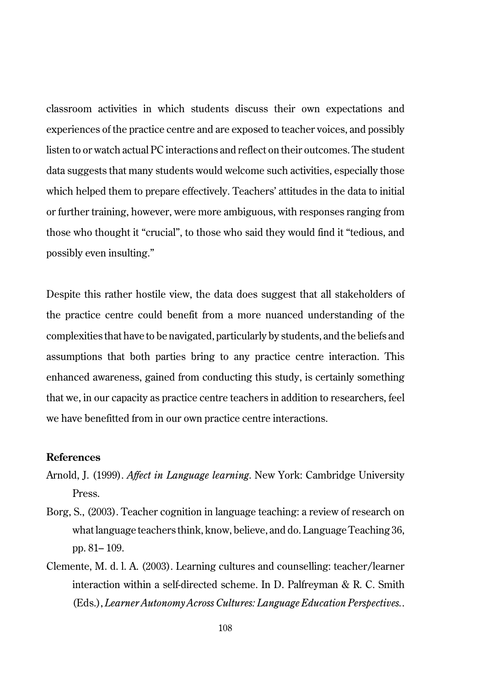classroom activities in which students discuss their own expectations and experiences of the practice centre and are exposed to teacher voices, and possibly listen to or watch actual PC interactions and reflect on their outcomes. The student data suggests that many students would welcome such activities, especially those which helped them to prepare effectively. Teachers' attitudes in the data to initial or further training, however, were more ambiguous, with responses ranging from those who thought it "crucial", to those who said they would find it "tedious, and possibly even insulting."

Despite this rather hostile view, the data does suggest that all stakeholders of the practice centre could benefit from a more nuanced understanding of the complexities that have to be navigated, particularly by students, and the beliefs and assumptions that both parties bring to any practice centre interaction. This enhanced awareness, gained from conducting this study, is certainly something that we, in our capacity as practice centre teachers in addition to researchers, feel we have benefitted from in our own practice centre interactions.

#### **References**

- Arnold, J. (1999). *Affect in Language learning*. New York: Cambridge University Press.
- Borg, S., (2003). Teacher cognition in language teaching: a review of research on what language teachers think, know, believe, and do. Language Teaching 36, pp. 81– 109.
- Clemente, M. d. l. A. (2003). Learning cultures and counselling: teacher/learner interaction within a self-directed scheme. In D. Palfreyman & R. C. Smith (Eds.), *Learner Autonomy Across Cultures: Language Education Perspectives.*.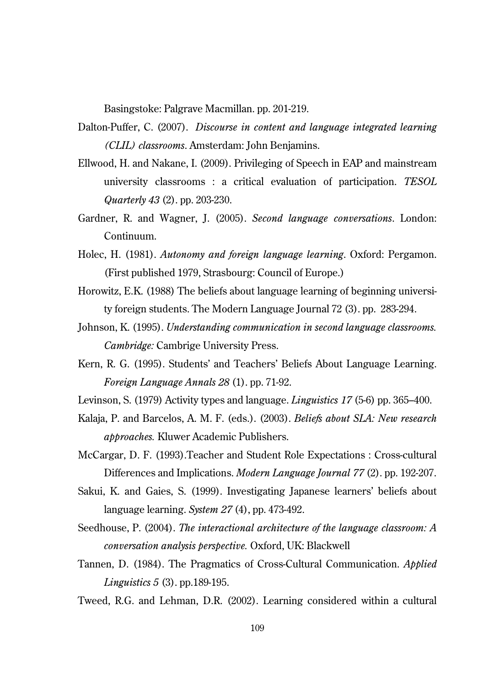Basingstoke: Palgrave Macmillan. pp. 201-219.

- Dalton-Puffer, C. (2007). *Discourse in content and language integrated learning (CLIL) classrooms*. Amsterdam: John Benjamins.
- Ellwood, H. and Nakane, I. (2009). Privileging of Speech in EAP and mainstream university classrooms : a critical evaluation of participation. *TESOL Quarterly 43* (2). pp. 203-230.
- Gardner, R. and Wagner, J. (2005). *Second language conversations*. London: Continuum.
- Holec, H. (1981). *Autonomy and foreign language learning*. Oxford: Pergamon. (First published 1979, Strasbourg: Council of Europe.)
- Horowitz, E.K. (1988) The beliefs about language learning of beginning university foreign students. The Modern Language Journal 72 (3). pp. 283-294.
- Johnson, K. (1995). *Understanding communication in second language classrooms. Cambridge:* Cambrige University Press.
- Kern, R. G. (1995). Students' and Teachers' Beliefs About Language Learning. *Foreign Language Annals 28* (1). pp. 71-92.
- Levinson, S. (1979) Activity types and language. *Linguistics 17* (5-6) pp. 365–400.
- Kalaja, P. and Barcelos, A. M. F. (eds.). (2003). *Beliefs about SLA: New research approaches.* Kluwer Academic Publishers.

McCargar, D. F. (1993).Teacher and Student Role Expectations : Cross-cultural Differences and Implications. *Modern Language Journal 77* (2). pp. 192-207.

- Sakui, K. and Gaies, S. (1999). Investigating Japanese learners' beliefs about language learning. *System 27* (4), pp. 473-492.
- Seedhouse, P. (2004). *The interactional architecture of the language classroom: A conversation analysis perspective.* Oxford, UK: Blackwell
- Tannen, D. (1984). The Pragmatics of Cross-Cultural Communication. *Applied Linguistics 5* (3). pp.189-195.

Tweed, R.G. and Lehman, D.R. (2002). Learning considered within a cultural